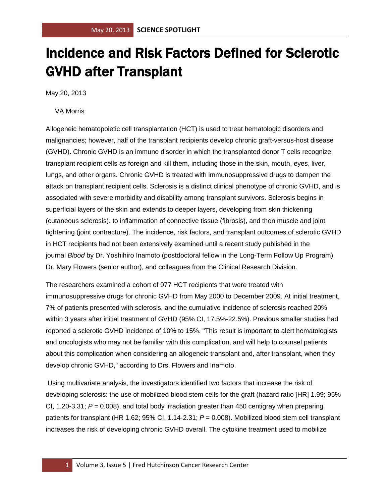## Incidence and Risk Factors Defined for Sclerotic GVHD after Transplant

May 20, 2013

VA Morris

Allogeneic hematopoietic cell transplantation (HCT) is used to treat hematologic disorders and malignancies; however, half of the transplant recipients develop chronic graft-versus-host disease (GVHD). Chronic GVHD is an immune disorder in which the transplanted donor T cells recognize transplant recipient cells as foreign and kill them, including those in the skin, mouth, eyes, liver, lungs, and other organs. Chronic GVHD is treated with immunosuppressive drugs to dampen the attack on transplant recipient cells. Sclerosis is a distinct clinical phenotype of chronic GVHD, and is associated with severe morbidity and disability among transplant survivors. Sclerosis begins in superficial layers of the skin and extends to deeper layers, developing from skin thickening (cutaneous sclerosis), to inflammation of connective tissue (fibrosis), and then muscle and joint tightening (joint contracture). The incidence, risk factors, and transplant outcomes of sclerotic GVHD in HCT recipients had not been extensively examined until a recent study published in the journal *Blood* by Dr. Yoshihiro Inamoto (postdoctoral fellow in the Long-Term Follow Up Program), Dr. Mary Flowers (senior author), and colleagues from the Clinical Research Division.

The researchers examined a cohort of 977 HCT recipients that were treated with immunosuppressive drugs for chronic GVHD from May 2000 to December 2009. At initial treatment, 7% of patients presented with sclerosis, and the cumulative incidence of sclerosis reached 20% within 3 years after initial treatment of GVHD (95% CI, 17.5%-22.5%). Previous smaller studies had reported a sclerotic GVHD incidence of 10% to 15%. "This result is important to alert hematologists and oncologists who may not be familiar with this complication, and will help to counsel patients about this complication when considering an allogeneic transplant and, after transplant, when they develop chronic GVHD," according to Drs. Flowers and Inamoto.

Using multivariate analysis, the investigators identified two factors that increase the risk of developing sclerosis: the use of mobilized blood stem cells for the graft (hazard ratio [HR] 1.99; 95% CI, 1.20-3.31; *P* = 0.008), and total body irradiation greater than 450 centigray when preparing patients for transplant (HR 1.62; 95% CI, 1.14-2.31; *P* = 0.008). Mobilized blood stem cell transplant increases the risk of developing chronic GVHD overall. The cytokine treatment used to mobilize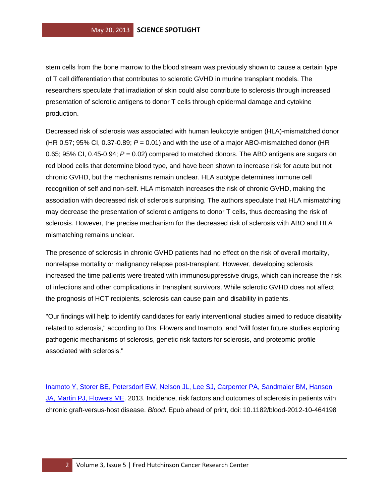stem cells from the bone marrow to the blood stream was previously shown to cause a certain type of T cell differentiation that contributes to sclerotic GVHD in murine transplant models. The researchers speculate that irradiation of skin could also contribute to sclerosis through increased presentation of sclerotic antigens to donor T cells through epidermal damage and cytokine production.

Decreased risk of sclerosis was associated with human leukocyte antigen (HLA)-mismatched donor (HR 0.57; 95% CI, 0.37-0.89; *P* = 0.01) and with the use of a major ABO-mismatched donor (HR 0.65; 95% CI, 0.45-0.94; *P* = 0.02) compared to matched donors. The ABO antigens are sugars on red blood cells that determine blood type, and have been shown to increase risk for acute but not chronic GVHD, but the mechanisms remain unclear. HLA subtype determines immune cell recognition of self and non-self. HLA mismatch increases the risk of chronic GVHD, making the association with decreased risk of sclerosis surprising. The authors speculate that HLA mismatching may decrease the presentation of sclerotic antigens to donor T cells, thus decreasing the risk of sclerosis. However, the precise mechanism for the decreased risk of sclerosis with ABO and HLA mismatching remains unclear.

The presence of sclerosis in chronic GVHD patients had no effect on the risk of overall mortality, nonrelapse mortality or malignancy relapse post-transplant. However, developing sclerosis increased the time patients were treated with immunosuppressive drugs, which can increase the risk of infections and other complications in transplant survivors. While sclerotic GVHD does not affect the prognosis of HCT recipients, sclerosis can cause pain and disability in patients.

"Our findings will help to identify candidates for early interventional studies aimed to reduce disability related to sclerosis," according to Drs. Flowers and Inamoto, and "will foster future studies exploring pathogenic mechanisms of sclerosis, genetic risk factors for sclerosis, and proteomic profile associated with sclerosis."

[Inamoto Y, Storer BE, Petersdorf EW, Nelson JL, Lee SJ, Carpenter PA, Sandmaier BM, Hansen](http://www.ncbi.nlm.nih.gov/pubmed/23547053?otool=fhcrclib)  [JA, Martin PJ, Flowers ME.](http://www.ncbi.nlm.nih.gov/pubmed/23547053?otool=fhcrclib) 2013. Incidence, risk factors and outcomes of sclerosis in patients with chronic graft-versus-host disease. *Blood*. Epub ahead of print, doi: 10.1182/blood-2012-10-464198